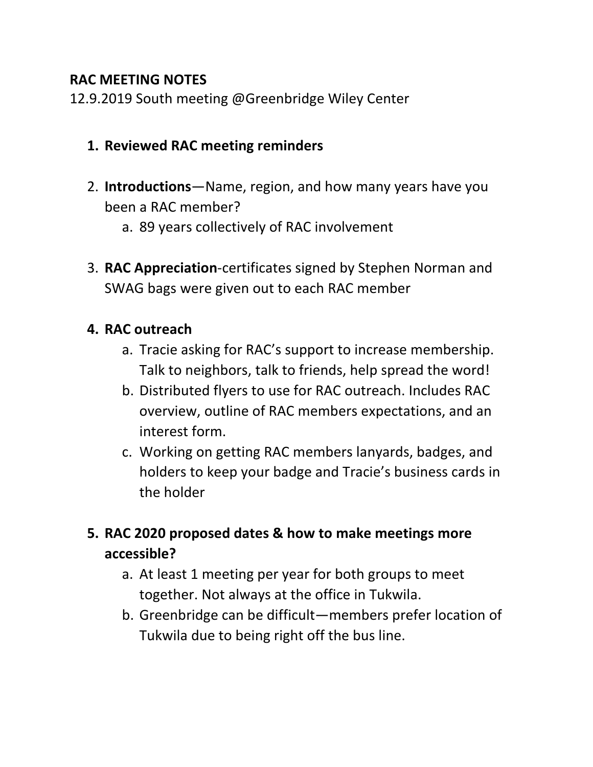#### **RAC MEETING NOTES**

12.9.2019 South meeting @Greenbridge Wiley Center

### **1. Reviewed RAC meeting reminders**

- 2. **Introductions**—Name, region, and how many years have you been a RAC member?
	- a. 89 years collectively of RAC involvement
- 3. **RAC Appreciation**-certificates signed by Stephen Norman and SWAG bags were given out to each RAC member

#### **4. RAC outreach**

- a. Tracie asking for RAC's support to increase membership. Talk to neighbors, talk to friends, help spread the word!
- b. Distributed flyers to use for RAC outreach. Includes RAC overview, outline of RAC members expectations, and an interest form.
- c. Working on getting RAC members lanyards, badges, and holders to keep your badge and Tracie's business cards in the holder

# **5. RAC 2020 proposed dates & how to make meetings more accessible?**

- a. At least 1 meeting per year for both groups to meet together. Not always at the office in Tukwila.
- b. Greenbridge can be difficult—members prefer location of Tukwila due to being right off the bus line.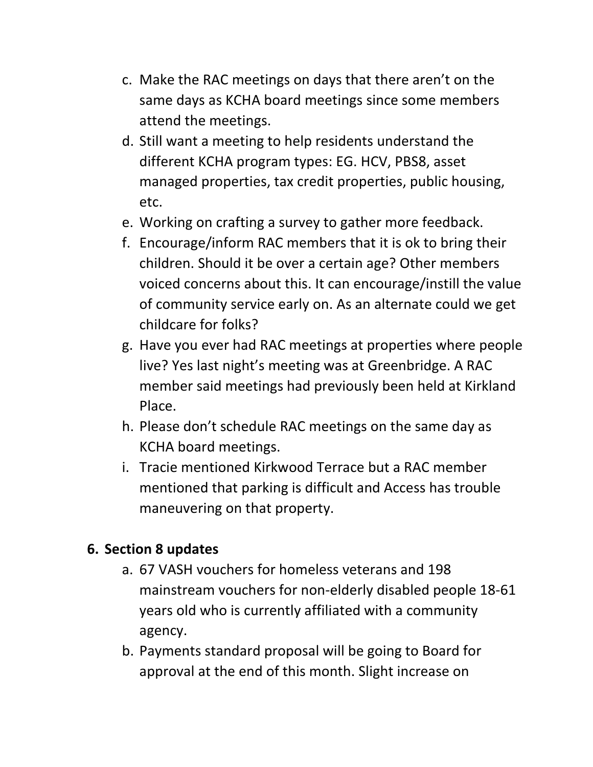- c. Make the RAC meetings on days that there aren't on the same days as KCHA board meetings since some members attend the meetings.
- d. Still want a meeting to help residents understand the different KCHA program types: EG. HCV, PBS8, asset managed properties, tax credit properties, public housing, etc.
- e. Working on crafting a survey to gather more feedback.
- f. Encourage/inform RAC members that it is ok to bring their children. Should it be over a certain age? Other members voiced concerns about this. It can encourage/instill the value of community service early on. As an alternate could we get childcare for folks?
- g. Have you ever had RAC meetings at properties where people live? Yes last night's meeting was at Greenbridge. A RAC member said meetings had previously been held at Kirkland Place.
- h. Please don't schedule RAC meetings on the same day as KCHA board meetings.
- i. Tracie mentioned Kirkwood Terrace but a RAC member mentioned that parking is difficult and Access has trouble maneuvering on that property.

# **6. Section 8 updates**

- a. 67 VASH vouchers for homeless veterans and 198 mainstream vouchers for non-elderly disabled people 18-61 years old who is currently affiliated with a community agency.
- b. Payments standard proposal will be going to Board for approval at the end of this month. Slight increase on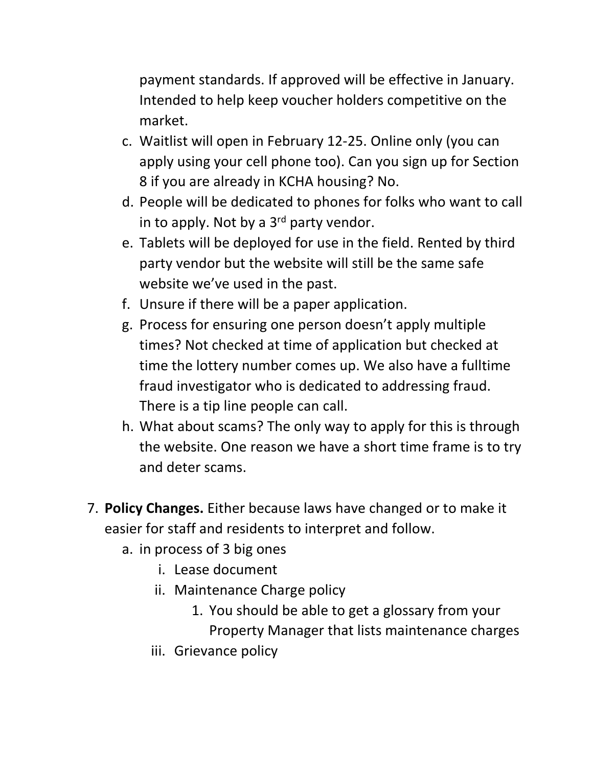payment standards. If approved will be effective in January. Intended to help keep voucher holders competitive on the market.

- c. Waitlist will open in February 12-25. Online only (you can apply using your cell phone too). Can you sign up for Section 8 if you are already in KCHA housing? No.
- d. People will be dedicated to phones for folks who want to call in to apply. Not by a  $3<sup>rd</sup>$  party vendor.
- e. Tablets will be deployed for use in the field. Rented by third party vendor but the website will still be the same safe website we've used in the past.
- f. Unsure if there will be a paper application.
- g. Process for ensuring one person doesn't apply multiple times? Not checked at time of application but checked at time the lottery number comes up. We also have a fulltime fraud investigator who is dedicated to addressing fraud. There is a tip line people can call.
- h. What about scams? The only way to apply for this is through the website. One reason we have a short time frame is to try and deter scams.
- 7. **Policy Changes.** Either because laws have changed or to make it easier for staff and residents to interpret and follow.
	- a. in process of 3 big ones
		- i. Lease document
		- ii. Maintenance Charge policy
			- 1. You should be able to get a glossary from your Property Manager that lists maintenance charges
		- iii. Grievance policy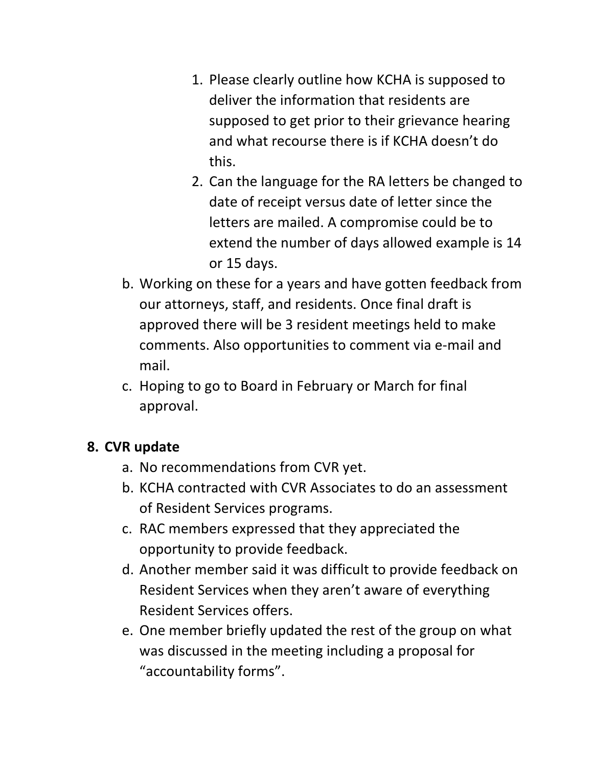- 1. Please clearly outline how KCHA is supposed to deliver the information that residents are supposed to get prior to their grievance hearing and what recourse there is if KCHA doesn't do this.
- 2. Can the language for the RA letters be changed to date of receipt versus date of letter since the letters are mailed. A compromise could be to extend the number of days allowed example is 14 or 15 days.
- b. Working on these for a years and have gotten feedback from our attorneys, staff, and residents. Once final draft is approved there will be 3 resident meetings held to make comments. Also opportunities to comment via e-mail and mail.
- c. Hoping to go to Board in February or March for final approval.

### **8. CVR update**

- a. No recommendations from CVR yet.
- b. KCHA contracted with CVR Associates to do an assessment of Resident Services programs.
- c. RAC members expressed that they appreciated the opportunity to provide feedback.
- d. Another member said it was difficult to provide feedback on Resident Services when they aren't aware of everything Resident Services offers.
- e. One member briefly updated the rest of the group on what was discussed in the meeting including a proposal for "accountability forms".